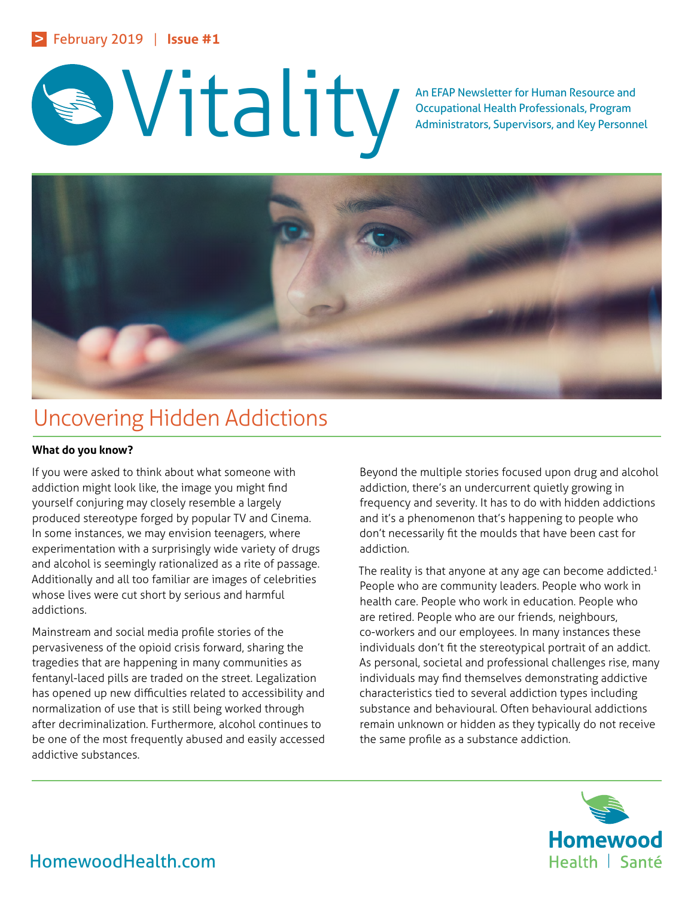# An EFAP Newsletter for Human Resource and Occupational Health Professionals, Program<br>Administrators, Supervisors, and Key Personn

Occupational Health Professionals, Program Administrators, Supervisors, and Key Personnel



# Uncovering Hidden Addictions

# **What do you know?**

If you were asked to think about what someone with addiction might look like, the image you might find yourself conjuring may closely resemble a largely produced stereotype forged by popular TV and Cinema. In some instances, we may envision teenagers, where experimentation with a surprisingly wide variety of drugs and alcohol is seemingly rationalized as a rite of passage. Additionally and all too familiar are images of celebrities whose lives were cut short by serious and harmful addictions.

Mainstream and social media profile stories of the pervasiveness of the opioid crisis forward, sharing the tragedies that are happening in many communities as fentanyl-laced pills are traded on the street. Legalization has opened up new difficulties related to accessibility and normalization of use that is still being worked through after decriminalization. Furthermore, alcohol continues to be one of the most frequently abused and easily accessed addictive substances.

Beyond the multiple stories focused upon drug and alcohol addiction, there's an undercurrent quietly growing in frequency and severity. It has to do with hidden addictions and it's a phenomenon that's happening to people who don't necessarily fit the moulds that have been cast for addiction.

The reality is that anyone at any age can become addicted.<sup>1</sup> People who are community leaders. People who work in health care. People who work in education. People who are retired. People who are our friends, neighbours, co-workers and our employees. In many instances these individuals don't fit the stereotypical portrait of an addict. As personal, societal and professional challenges rise, many individuals may find themselves demonstrating addictive characteristics tied to several addiction types including substance and behavioural. Often behavioural addictions remain unknown or hidden as they typically do not receive the same profile as a substance addiction.



HomewoodHealth.com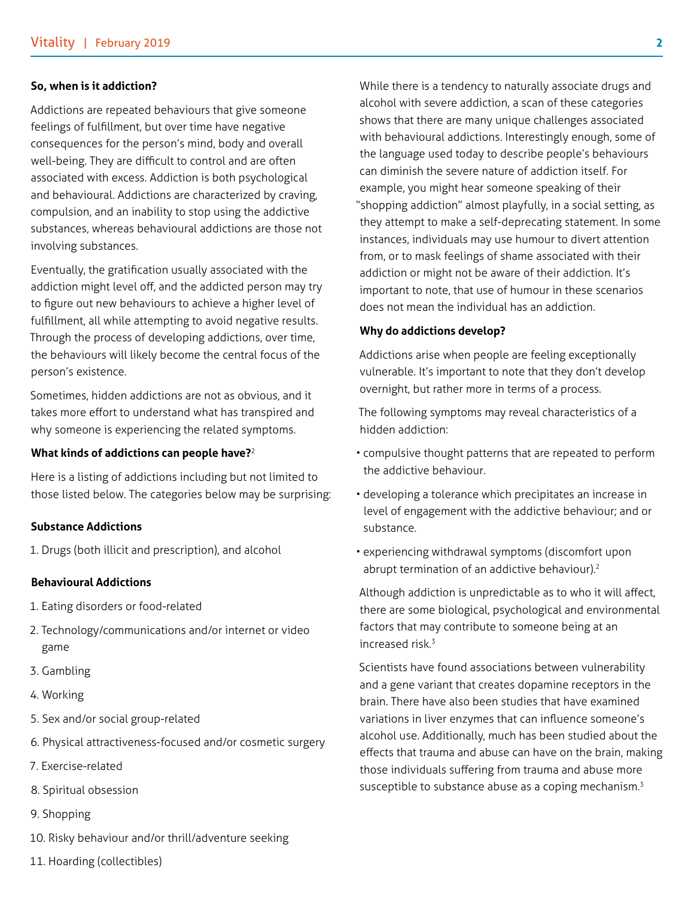#### **So, when is it addiction?**

Addictions are repeated behaviours that give someone feelings of fulfillment, but over time have negative consequences for the person's mind, body and overall well-being. They are difficult to control and are often associated with excess. Addiction is both psychological and behavioural. Addictions are characterized by craving, compulsion, and an inability to stop using the addictive substances, whereas behavioural addictions are those not involving substances.

Eventually, the gratification usually associated with the addiction might level off, and the addicted person may try to figure out new behaviours to achieve a higher level of fulfillment, all while attempting to avoid negative results. Through the process of developing addictions, over time, the behaviours will likely become the central focus of the person's existence.

Sometimes, hidden addictions are not as obvious, and it takes more effort to understand what has transpired and why someone is experiencing the related symptoms.

#### **What kinds of addictions can people have?**<sup>2</sup>

Here is a listing of addictions including but not limited to those listed below. The categories below may be surprising:

#### **Substance Addictions**

1. Drugs (both illicit and prescription), and alcohol

#### **Behavioural Addictions**

- 1. Eating disorders or food-related
- 2. Technology/communications and/or internet or video game
- 3. Gambling
- 4. Working
- 5. Sex and/or social group-related
- 6. Physical attractiveness-focused and/or cosmetic surgery
- 7. Exercise-related
- 8. Spiritual obsession
- 9. Shopping
- 10. Risky behaviour and/or thrill/adventure seeking

While there is a tendency to naturally associate drugs and alcohol with severe addiction, a scan of these categories shows that there are many unique challenges associated with behavioural addictions. Interestingly enough, some of the language used today to describe people's behaviours can diminish the severe nature of addiction itself. For example, you might hear someone speaking of their "shopping addiction" almost playfully, in a social setting, as they attempt to make a self-deprecating statement. In some instances, individuals may use humour to divert attention from, or to mask feelings of shame associated with their addiction or might not be aware of their addiction. It's important to note, that use of humour in these scenarios does not mean the individual has an addiction.

#### **Why do addictions develop?**

Addictions arise when people are feeling exceptionally vulnerable. It's important to note that they don't develop overnight, but rather more in terms of a process.

The following symptoms may reveal characteristics of a hidden addiction:

- compulsive thought patterns that are repeated to perform the addictive behaviour.
- developing a tolerance which precipitates an increase in level of engagement with the addictive behaviour; and or substance.
- experiencing withdrawal symptoms (discomfort upon abrupt termination of an addictive behaviour).<sup>2</sup>

Although addiction is unpredictable as to who it will affect, there are some biological, psychological and environmental factors that may contribute to someone being at an increased risk.<sup>3</sup>

Scientists have found associations between vulnerability and a gene variant that creates dopamine receptors in the brain. There have also been studies that have examined variations in liver enzymes that can influence someone's alcohol use. Additionally, much has been studied about the effects that trauma and abuse can have on the brain, making those individuals suffering from trauma and abuse more susceptible to substance abuse as a coping mechanism.<sup>3</sup>

11. Hoarding (collectibles)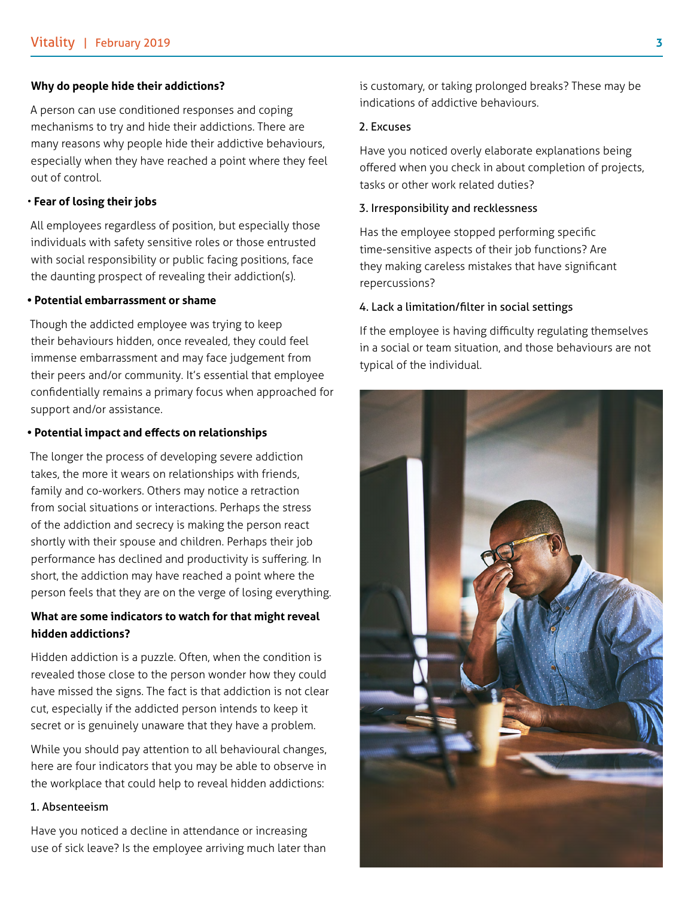#### **Why do people hide their addictions?**

A person can use conditioned responses and coping mechanisms to try and hide their addictions. There are many reasons why people hide their addictive behaviours, especially when they have reached a point where they feel out of control.

#### • **Fear of losing their jobs**

All employees regardless of position, but especially those individuals with safety sensitive roles or those entrusted with social responsibility or public facing positions, face the daunting prospect of revealing their addiction(s).

#### **• Potential embarrassment or shame**

Though the addicted employee was trying to keep their behaviours hidden, once revealed, they could feel immense embarrassment and may face judgement from their peers and/or community. It's essential that employee confidentially remains a primary focus when approached for support and/or assistance.

#### **• Potential impact and effects on relationships**

The longer the process of developing severe addiction takes, the more it wears on relationships with friends, family and co-workers. Others may notice a retraction from social situations or interactions. Perhaps the stress of the addiction and secrecy is making the person react shortly with their spouse and children. Perhaps their job performance has declined and productivity is suffering. In short, the addiction may have reached a point where the person feels that they are on the verge of losing everything.

# **What are some indicators to watch for that might reveal hidden addictions?**

Hidden addiction is a puzzle. Often, when the condition is revealed those close to the person wonder how they could have missed the signs. The fact is that addiction is not clear cut, especially if the addicted person intends to keep it secret or is genuinely unaware that they have a problem.

While you should pay attention to all behavioural changes, here are four indicators that you may be able to observe in the workplace that could help to reveal hidden addictions:

#### 1. Absenteeism

Have you noticed a decline in attendance or increasing use of sick leave? Is the employee arriving much later than is customary, or taking prolonged breaks? These may be indications of addictive behaviours.

#### 2. Excuses

Have you noticed overly elaborate explanations being offered when you check in about completion of projects, tasks or other work related duties?

#### 3. Irresponsibility and recklessness

Has the employee stopped performing specific time-sensitive aspects of their job functions? Are they making careless mistakes that have significant repercussions?

#### 4. Lack a limitation/filter in social settings

If the employee is having difficulty regulating themselves in a social or team situation, and those behaviours are not typical of the individual.